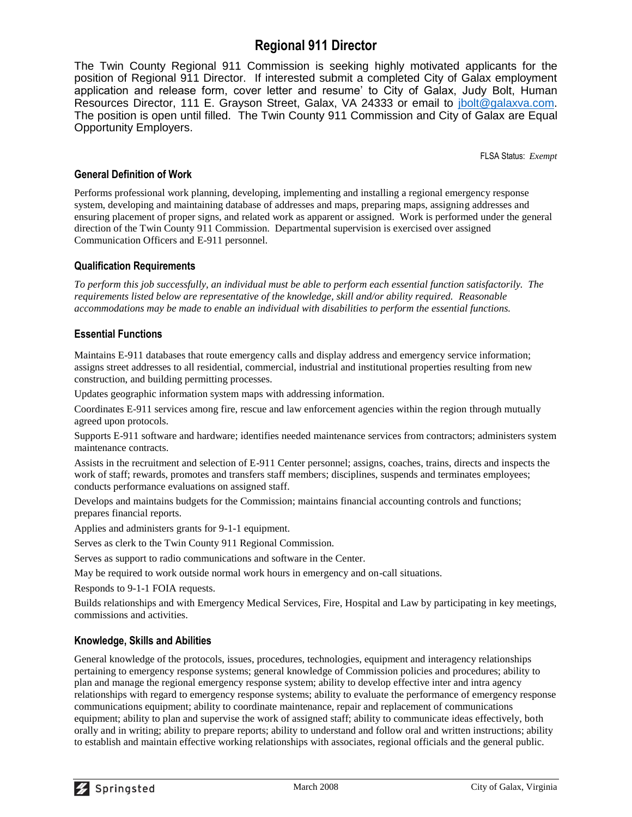### **Regional 911 Director**

The Twin County Regional 911 Commission is seeking highly motivated applicants for the position of Regional 911 Director. If interested submit a completed City of Galax employment application and release form, cover letter and resume' to City of Galax, Judy Bolt, Human Resources Director, 111 E. Grayson Street, Galax, VA 24333 or email to [jbolt@galaxva.com.](mailto:jbolt@galaxva.com) The position is open until filled. The Twin County 911 Commission and City of Galax are Equal Opportunity Employers.

FLSA Status: *Exempt*

### **General Definition of Work**

Performs professional work planning, developing, implementing and installing a regional emergency response system, developing and maintaining database of addresses and maps, preparing maps, assigning addresses and ensuring placement of proper signs, and related work as apparent or assigned. Work is performed under the general direction of the Twin County 911 Commission. Departmental supervision is exercised over assigned Communication Officers and E-911 personnel.

### **Qualification Requirements**

*To perform this job successfully, an individual must be able to perform each essential function satisfactorily. The requirements listed below are representative of the knowledge, skill and/or ability required. Reasonable accommodations may be made to enable an individual with disabilities to perform the essential functions.*

### **Essential Functions**

Maintains E-911 databases that route emergency calls and display address and emergency service information; assigns street addresses to all residential, commercial, industrial and institutional properties resulting from new construction, and building permitting processes.

Updates geographic information system maps with addressing information.

Coordinates E-911 services among fire, rescue and law enforcement agencies within the region through mutually agreed upon protocols.

Supports E-911 software and hardware; identifies needed maintenance services from contractors; administers system maintenance contracts.

Assists in the recruitment and selection of E-911 Center personnel; assigns, coaches, trains, directs and inspects the work of staff; rewards, promotes and transfers staff members; disciplines, suspends and terminates employees; conducts performance evaluations on assigned staff.

Develops and maintains budgets for the Commission; maintains financial accounting controls and functions; prepares financial reports.

Applies and administers grants for 9-1-1 equipment.

Serves as clerk to the Twin County 911 Regional Commission.

Serves as support to radio communications and software in the Center.

May be required to work outside normal work hours in emergency and on-call situations.

Responds to 9-1-1 FOIA requests.

Builds relationships and with Emergency Medical Services, Fire, Hospital and Law by participating in key meetings, commissions and activities.

### **Knowledge, Skills and Abilities**

General knowledge of the protocols, issues, procedures, technologies, equipment and interagency relationships pertaining to emergency response systems; general knowledge of Commission policies and procedures; ability to plan and manage the regional emergency response system; ability to develop effective inter and intra agency relationships with regard to emergency response systems; ability to evaluate the performance of emergency response communications equipment; ability to coordinate maintenance, repair and replacement of communications equipment; ability to plan and supervise the work of assigned staff; ability to communicate ideas effectively, both orally and in writing; ability to prepare reports; ability to understand and follow oral and written instructions; ability to establish and maintain effective working relationships with associates, regional officials and the general public.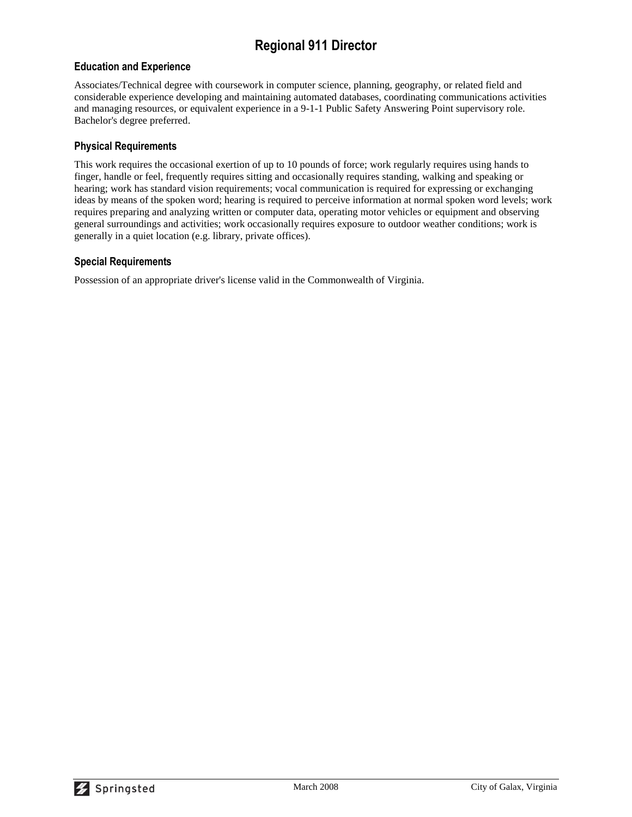## **Regional 911 Director**

### **Education and Experience**

Associates/Technical degree with coursework in computer science, planning, geography, or related field and considerable experience developing and maintaining automated databases, coordinating communications activities and managing resources, or equivalent experience in a 9-1-1 Public Safety Answering Point supervisory role. Bachelor's degree preferred.

#### **Physical Requirements**

This work requires the occasional exertion of up to 10 pounds of force; work regularly requires using hands to finger, handle or feel, frequently requires sitting and occasionally requires standing, walking and speaking or hearing; work has standard vision requirements; vocal communication is required for expressing or exchanging ideas by means of the spoken word; hearing is required to perceive information at normal spoken word levels; work requires preparing and analyzing written or computer data, operating motor vehicles or equipment and observing general surroundings and activities; work occasionally requires exposure to outdoor weather conditions; work is generally in a quiet location (e.g. library, private offices).

### **Special Requirements**

Possession of an appropriate driver's license valid in the Commonwealth of Virginia.